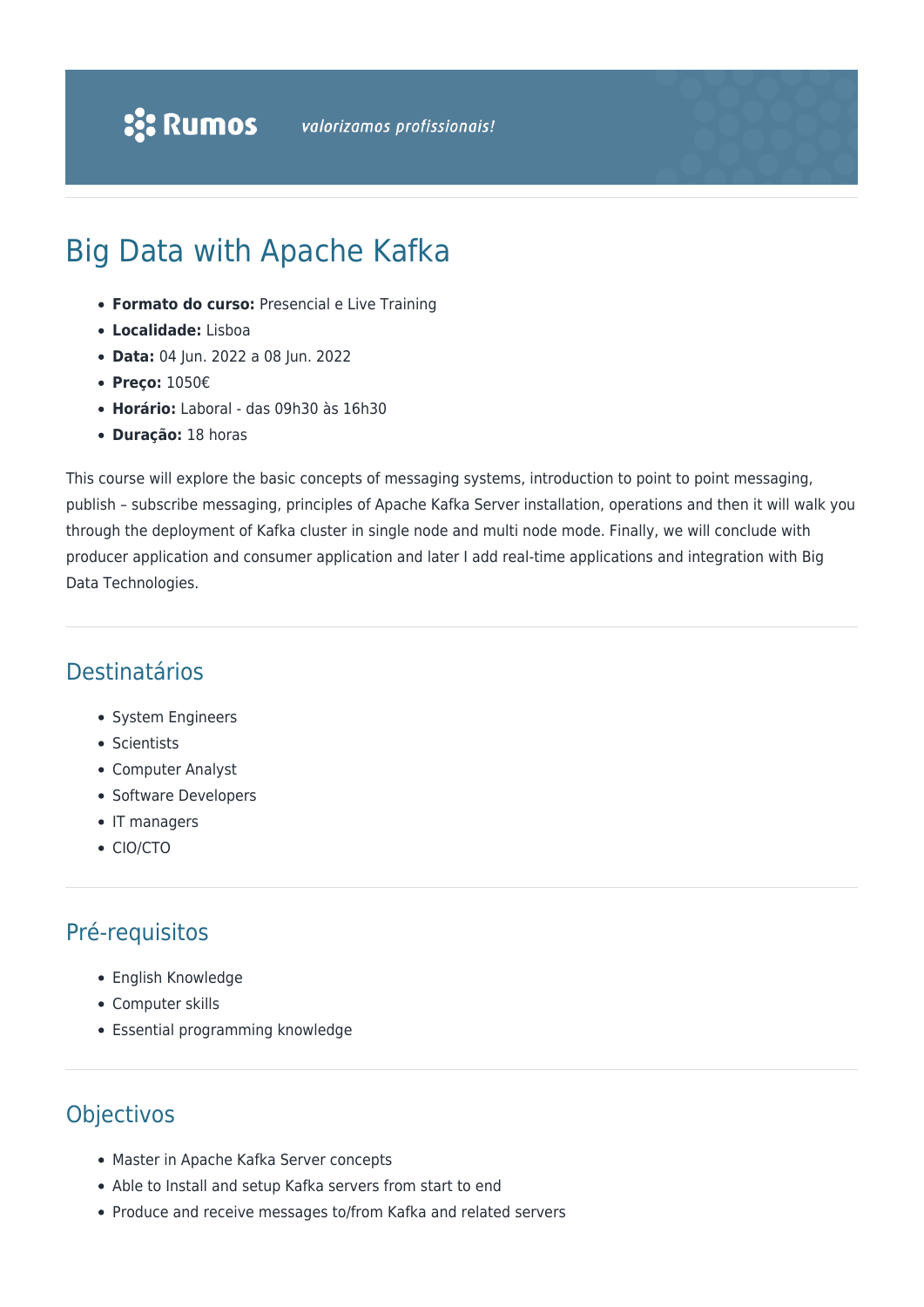# Big Data with Apache Kafka

- **Formato do curso:** Presencial e Live Training
- **Localidade:** Lisboa
- **Data:** 04 Jun. 2022 a 08 Jun. 2022
- **Preço:** 1050€
- **Horário:** Laboral das 09h30 às 16h30
- **Duração:** 18 horas

This course will explore the basic concepts of messaging systems, introduction to point to point messaging, publish – subscribe messaging, principles of Apache Kafka Server installation, operations and then it will walk you through the deployment of Kafka cluster in single node and multi node mode. Finally, we will conclude with producer application and consumer application and later I add real-time applications and integration with Big Data Technologies.

### Destinatários

- System Engineers
- Scientists
- Computer Analyst
- Software Developers
- IT managers
- CIO/CTO

## Pré-requisitos

- English Knowledge
- Computer skills
- Essential programming knowledge

## **Objectivos**

- Master in Apache Kafka Server concepts
- Able to Install and setup Kafka servers from start to end
- Produce and receive messages to/from Kafka and related servers